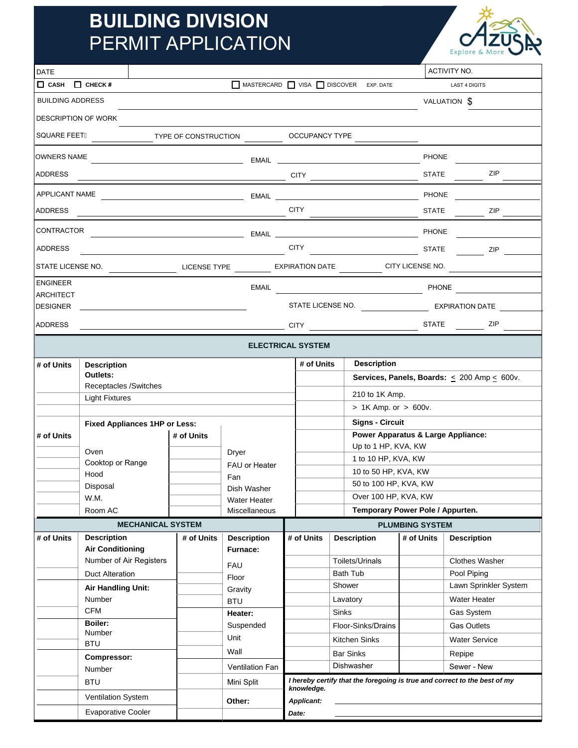## **BUILDING DIVISION**  PERMIT APPLICATION



| <b>DATE</b>                                                                                |                           |                                                            |                                           |                                                                           |                                                                              |                    |                                    | <b>ACTIVITY NO.</b>              |  |
|--------------------------------------------------------------------------------------------|---------------------------|------------------------------------------------------------|-------------------------------------------|---------------------------------------------------------------------------|------------------------------------------------------------------------------|--------------------|------------------------------------|----------------------------------|--|
| $\Box$ CASH $\Box$ CHECK #                                                                 |                           | MASTERCARD VISA DISCOVER EXP. DATE<br><b>LAST 4 DIGITS</b> |                                           |                                                                           |                                                                              |                    |                                    |                                  |  |
| <b>BUILDING ADDRESS</b><br>VALUATION \$                                                    |                           |                                                            |                                           |                                                                           |                                                                              |                    |                                    |                                  |  |
| <b>DESCRIPTION OF WORK</b>                                                                 |                           |                                                            |                                           |                                                                           |                                                                              |                    |                                    |                                  |  |
| SQUARE FEETÁ                                                                               |                           |                                                            |                                           |                                                                           |                                                                              |                    |                                    |                                  |  |
| <b>OWNERS NAME</b>                                                                         |                           |                                                            |                                           |                                                                           | <b>PHONE</b>                                                                 |                    |                                    |                                  |  |
| <b>ADDRESS</b>                                                                             |                           |                                                            |                                           | <b>STATE</b>                                                              |                                                                              |                    |                                    | <b>ZIP</b>                       |  |
| APPLICANT NAME                                                                             |                           |                                                            |                                           |                                                                           |                                                                              |                    |                                    |                                  |  |
| <b>ADDRESS</b>                                                                             |                           |                                                            | ———————————————————— СІТҮ <sub>————</sub> |                                                                           |                                                                              |                    | <b>STATE</b><br>$ZIP$ <sub>-</sub> |                                  |  |
| CONTRACTOR                                                                                 |                           |                                                            |                                           |                                                                           | <b>PHONE</b>                                                                 |                    |                                    |                                  |  |
| <b>ADDRESS</b>                                                                             |                           |                                                            |                                           |                                                                           |                                                                              |                    |                                    | ZIP                              |  |
| STATE LICENSE NO.<br>LICENSE TYPE ____________ EXPIRATION DATE __________ CITY LICENSE NO. |                           |                                                            |                                           |                                                                           |                                                                              |                    |                                    |                                  |  |
| <b>ENGINEER</b><br>EMAIL PHONE                                                             |                           |                                                            |                                           |                                                                           |                                                                              |                    |                                    |                                  |  |
| <b>ARCHITECT</b><br><b>DESIGNER</b>                                                        |                           |                                                            |                                           |                                                                           |                                                                              |                    |                                    |                                  |  |
| <b>ADDRESS</b>                                                                             |                           |                                                            |                                           |                                                                           |                                                                              |                    |                                    |                                  |  |
| <b>ELECTRICAL SYSTEM</b>                                                                   |                           |                                                            |                                           |                                                                           |                                                                              |                    |                                    |                                  |  |
| # of Units                                                                                 | <b>Description</b>        |                                                            |                                           |                                                                           | # of Units<br><b>Description</b>                                             |                    |                                    |                                  |  |
|                                                                                            | Outlets:                  |                                                            |                                           |                                                                           | <b>Services, Panels, Boards:</b> $\leq 200$ Amp $\leq 600$ v.                |                    |                                    |                                  |  |
| Receptacles /Switches<br><b>Light Fixtures</b>                                             |                           |                                                            |                                           |                                                                           |                                                                              | 210 to 1K Amp.     |                                    |                                  |  |
|                                                                                            |                           |                                                            |                                           | $> 1K$ Amp. or $> 600v$ .                                                 |                                                                              |                    |                                    |                                  |  |
| <b>Fixed Appliances 1HP or Less:</b>                                                       |                           |                                                            |                                           |                                                                           | <b>Signs - Circuit</b>                                                       |                    |                                    |                                  |  |
| # of Units                                                                                 | # of Units                |                                                            |                                           |                                                                           | Power Apparatus & Large Appliance:<br>Up to 1 HP, KVA, KW                    |                    |                                    |                                  |  |
|                                                                                            | Oven                      |                                                            | Dryer                                     |                                                                           | 1 to 10 HP, KVA, KW                                                          |                    |                                    |                                  |  |
|                                                                                            | Cooktop or Range          |                                                            | FAU or Heater                             |                                                                           | 10 to 50 HP, KVA, KW                                                         |                    |                                    |                                  |  |
|                                                                                            | Hood<br>Disposal          |                                                            | Fan                                       | 50 to 100 HP, KVA, KW                                                     |                                                                              |                    |                                    |                                  |  |
|                                                                                            | W.M.                      |                                                            | Dish Washer                               |                                                                           |                                                                              |                    | Over 100 HP, KVA, KW               |                                  |  |
|                                                                                            | Room AC                   |                                                            | <b>Water Heater</b><br>Miscellaneous      |                                                                           |                                                                              |                    |                                    | Temporary Power Pole / Appurten. |  |
| <b>MECHANICAL SYSTEM</b>                                                                   |                           |                                                            |                                           |                                                                           | <b>PLUMBING SYSTEM</b>                                                       |                    |                                    |                                  |  |
| # of Units                                                                                 | <b>Description</b>        | # of Units                                                 | <b>Description</b>                        | # of Units                                                                |                                                                              | <b>Description</b> | # of Units                         | <b>Description</b>               |  |
|                                                                                            | <b>Air Conditioning</b>   |                                                            | <b>Furnace:</b>                           |                                                                           |                                                                              |                    |                                    |                                  |  |
|                                                                                            | Number of Air Registers   |                                                            | <b>FAU</b>                                |                                                                           | Toilets/Urinals<br><b>Bath Tub</b>                                           |                    |                                    | <b>Clothes Washer</b>            |  |
|                                                                                            | Duct Alteration           |                                                            | Floor                                     |                                                                           |                                                                              |                    |                                    | Pool Piping                      |  |
|                                                                                            | <b>Air Handling Unit:</b> |                                                            | Gravity                                   |                                                                           | Shower                                                                       |                    |                                    | Lawn Sprinkler System            |  |
|                                                                                            | <b>Number</b>             |                                                            | <b>BTU</b>                                |                                                                           | Lavatory<br>Sinks<br>Floor-Sinks/Drains<br>Kitchen Sinks<br><b>Bar Sinks</b> |                    |                                    | <b>Water Heater</b>              |  |
|                                                                                            | <b>CFM</b>                |                                                            | Heater:                                   |                                                                           |                                                                              |                    |                                    | Gas System                       |  |
|                                                                                            | Boiler:                   |                                                            | Suspended                                 |                                                                           |                                                                              |                    |                                    | <b>Gas Outlets</b>               |  |
|                                                                                            | Number<br><b>BTU</b>      |                                                            | Unit                                      |                                                                           |                                                                              |                    |                                    | <b>Water Service</b>             |  |
|                                                                                            |                           |                                                            | Wall                                      |                                                                           |                                                                              |                    |                                    | Repipe                           |  |
| <b>Compressor:</b><br>Number                                                               |                           |                                                            | Ventilation Fan                           |                                                                           | Dishwasher                                                                   |                    |                                    | Sewer - New                      |  |
|                                                                                            | <b>BTU</b>                |                                                            | Mini Split                                | I hereby certify that the foregoing is true and correct to the best of my |                                                                              |                    |                                    |                                  |  |
| Ventilation System                                                                         |                           |                                                            |                                           | knowledge.                                                                |                                                                              |                    |                                    |                                  |  |
|                                                                                            | <b>Evaporative Cooler</b> |                                                            | Other:                                    |                                                                           | Applicant:                                                                   |                    |                                    |                                  |  |
|                                                                                            |                           |                                                            |                                           | Date:                                                                     |                                                                              |                    |                                    |                                  |  |